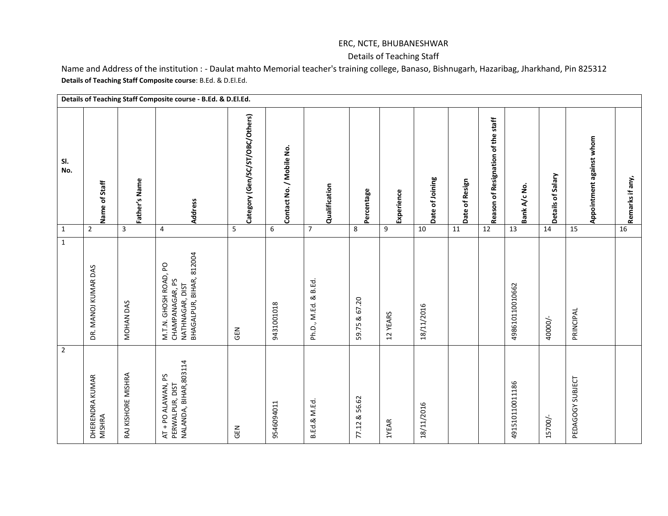## ERC, NCTE, BHUBANESHWAR

## Details of Teaching Staff

Name and Address of the institution : - Daulat mahto Memorial teacher's training college, Banaso, Bishnugarh, Hazaribag, Jharkhand, Pin 825312 **Details of Teaching Staff Composite course**: B.Ed. & D.El.Ed.

|                |                           |                    | Details of Teaching Staff Composite course - B.Ed. & D.El.Ed.                           |                                 |                          |                      |               |            |                 |                |                                    |                 |                   |                          |                 |
|----------------|---------------------------|--------------------|-----------------------------------------------------------------------------------------|---------------------------------|--------------------------|----------------------|---------------|------------|-----------------|----------------|------------------------------------|-----------------|-------------------|--------------------------|-----------------|
| SI.<br>No.     | Name of Staff             | Father's Name      | Address                                                                                 | Category (Gen/SC/ST/OBC/Others) | Contact No. / Mobile No. | Qualification        | Percentage    | Experience | Date of Joining | Date of Resign | Reason of Resignation of the staff | Bank A/c No.    | Details of Salary | Appointment against whom | Remarks if any, |
| $\mathbf 1$    | $\overline{2}$            | 3                  | 4                                                                                       | 5                               | $\boldsymbol{6}$         | $\overline{7}$       | $\,8\,$       | 9          | 10              | 11             | 12                                 | 13              | 14                | 15                       | 16              |
| $\mathbf 1$    | DR. MANOJ KUMAR DAS       | MOHAN DAS          | NATHNAGAR, DIST<br>BHAGALPUR, BIHAR, 812004<br>M.T.N. GHOSH ROAD, PO<br>CHAMPANAGAR, PS | <b>SEN</b>                      | 9431001018               | Ph.D., M.Ed. & B.Ed. | 59.75 & 67.20 | 12 YEARS   | 18/11/2016      |                |                                    | 498610110010662 | 40000/-           | PRINCIPAL                |                 |
| $\overline{2}$ | DHERENDRA KUMAR<br>MISHRA | RAJ KISHORE MISHRA | NALANDA, BIHAR, 803114<br>AT + PO ALAWAN, PS<br>PERWALPUR, DIST                         | <b>GEN</b>                      | 9546094011               | B.Ed.& M.Ed.         | 77.12 & 56.62 | 1YEAR      | 18/11/2016      |                |                                    | 491510110011186 | 15700/-           | PEDAGOGY SUBJECT         |                 |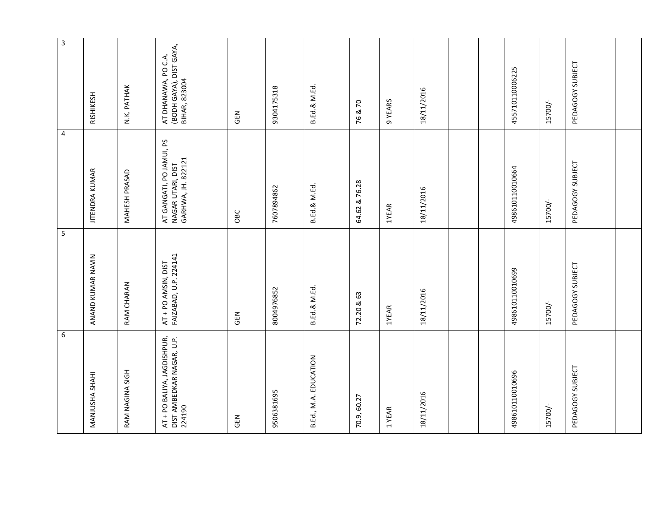| $\,6\,$                                                            | 5                                            | 4                                                                   | 3                                                               |
|--------------------------------------------------------------------|----------------------------------------------|---------------------------------------------------------------------|-----------------------------------------------------------------|
| MANJUSHA SHAHI                                                     | ANAND KUMAR NAVIN                            | <b>JITENDRA KUMAR</b>                                               | RISHIKESH                                                       |
| RAM NAGINA SIGH                                                    | RAM CHARAN                                   | MAHESH PRASAD                                                       | N.K. PATHAK                                                     |
| AT + PO BALIYA, JAGDISHPUR,<br>DIST AMBEDKAR NAGAR, U.P.<br>224190 | FAIZABAD, U.P. 224141<br>AT + PO AMSIN, DIST | AT GANGATI, PO JAMUI, PS<br>NAGAR UTARI, DIST<br>GARHWA, JH. 822121 | (BODH GAYA), DIST GAYA,<br>BIHAR, 823004<br>AT DHANAWA, PO C.A. |
| <b>GEN</b>                                                         | <b>GEN</b>                                   | OBC                                                                 | <b>GEN</b>                                                      |
| 9506381695                                                         | 8004976852                                   | 7607894862                                                          | 9304175318                                                      |
| B.Ed., M.A. EDUCATION                                              | B.Ed.& M.Ed.                                 | B.Ed.& M.Ed.                                                        | B.Ed.& M.Ed.                                                    |
| 70.9, 60.27                                                        | 72.20 & 63                                   | 64.62 & 76.28                                                       | 76 & 70                                                         |
| 1 YEAR                                                             | 1YEAR                                        | <b>1YEAR</b>                                                        | 9 YEARS                                                         |
| 18/11/2016                                                         | 18/11/2016                                   | 18/11/2016                                                          | 18/11/2016                                                      |
|                                                                    |                                              |                                                                     |                                                                 |
|                                                                    |                                              |                                                                     |                                                                 |
| 498610110010696                                                    | 498610110010699                              | 498610110010664                                                     | 455710110006225                                                 |
| 15700/-                                                            | 15700/-                                      | 15700/-                                                             | 15700/-                                                         |
| PEDAGOGY SUBJECT                                                   | PEDAGOGY SUBJECT                             | PEDAGOGY SUBJECT                                                    | PEDAGOGY SUBJECT                                                |
|                                                                    |                                              |                                                                     |                                                                 |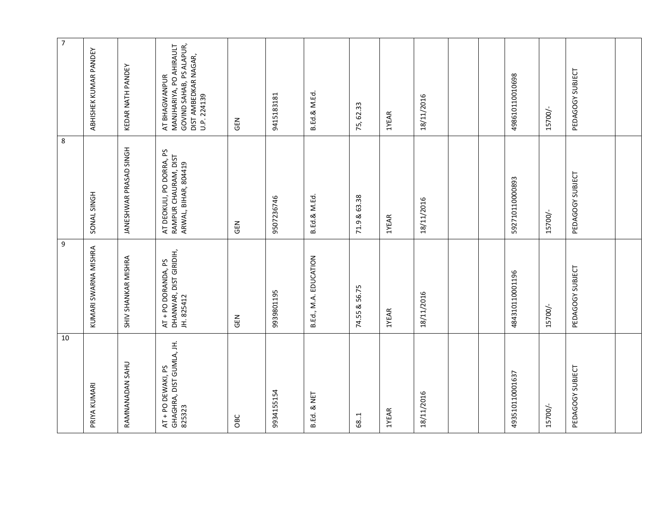| $\boldsymbol{7}$ | ABHISHEK KUMAR PANDEY | KEDAR NATH PANDEY      | GOVIND SAHAB, PS ALAPUR,<br>MANJHARIYA, PO AHIRAULT<br>DIST AMBEDKAR NAGAR,<br>AT BHAGWANPUR<br>U.P. 224139 | <b>SEN</b> | 9415183181 | B.Ed.& M.Ed.          | 75, 62.33     | <b>1YEAR</b> | 18/11/2016 |  | 498610110010698 | 15700/- | PEDAGOGY SUBJECT |  |
|------------------|-----------------------|------------------------|-------------------------------------------------------------------------------------------------------------|------------|------------|-----------------------|---------------|--------------|------------|--|-----------------|---------|------------------|--|
| $\,8\,$          | SONAL SINGH           | JANESHWAR PRASAD SINGH | AT DEOKULI, PO DORRA, PS<br>RAMPUR CHAURAM, DIST<br>ARWAL, BIHAR, 804419                                    | <b>M30</b> | 9507236746 | B.Ed.& M.Ed.          | 71.9 & 63.38  | 1YEAR        | 18/11/2016 |  | 592710110000893 | 15700/- | PEDAGOGY SUBJECT |  |
| 9                | KUMARI SWARNA MISHRA  | SHIV SHANKAR MISHRA    | AT + PO DORANDA, PS<br>DHANWAR, DIST GIRIDIH,<br>JH. 825412                                                 | <b>N3O</b> | 9939801195 | B.Ed., M.A. EDUCATION | 74.55 & 56.75 | 1YEAR        | 18/11/2016 |  | 484310110001196 | 15700/- | PEDAGOGY SUBJECT |  |
| 10               | PRIYA KUMARI          | RAMNANADAN SAHU        | GHAGHRA, DIST GUMLA, JH.<br>AT + PO DEWAKI, PS<br>825323                                                    | OBC        | 9934155154 | B.Ed. & NET           | 68.1          | 1YEAR        | 18/11/2016 |  | 493510110001637 | 15700/- | PEDAGOGY SUBJECT |  |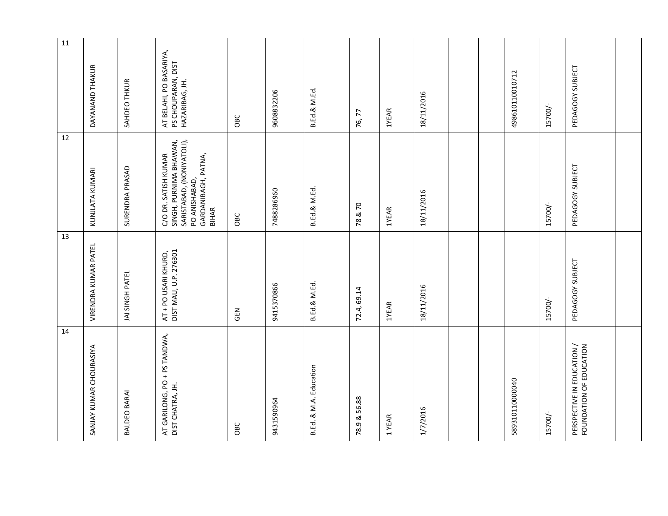| 14                                                    | 13                                            | 12                                                                                                                                  | $11\,$                                                          |
|-------------------------------------------------------|-----------------------------------------------|-------------------------------------------------------------------------------------------------------------------------------------|-----------------------------------------------------------------|
| SANJAY KUMAR CHOURASIYA                               | VIRENDRA KUMAR PATEL                          | KUNJLATA KUMARI                                                                                                                     | DAYANAND THAKUR                                                 |
| BALDEO BARAI                                          | JAI SINGH PATEL                               | SURENDRA PRASAD                                                                                                                     | SAHDEO THKUR                                                    |
| AT GARILONG, PO + PS TANDWA,<br>DIST CHATRA, JH.      | DIST MAU, U.P. 276301<br>AT + PO USARI KHURD, | SARISTABAD, (NONIYATOLI),<br>SINGH, PURNIMA BHAWAN,<br>C/O DR. SATISH KUMAR<br>GARDANIBAGH, PATNA,<br>PO ANISHABAD,<br><b>BIHAR</b> | AT BELAHI, PO BASARIYA,<br>PS CHOUPARAN, DIST<br>HAZARIBAG, JH. |
| OBC                                                   | GEN                                           | OBC                                                                                                                                 | OBC                                                             |
| 9431590964                                            | 9415370866                                    | 7488286960                                                                                                                          | 9608832206                                                      |
| B.Ed. & M.A. Education                                | B.Ed.& M.Ed.                                  | B.Ed.& M.Ed.                                                                                                                        | B.Ed.& M.Ed.                                                    |
| 78.9 & 56.88                                          | 72.4, 69.14                                   | 78 & 70                                                                                                                             | 76, 77                                                          |
| 1YEAR                                                 | 1YEAR                                         | <b>1YEAR</b>                                                                                                                        | <b>1YEAR</b>                                                    |
| 1/7/2016                                              | 18/11/2016                                    | 18/11/2016                                                                                                                          | 18/11/2016                                                      |
|                                                       |                                               |                                                                                                                                     |                                                                 |
|                                                       |                                               |                                                                                                                                     |                                                                 |
| 589310110000040                                       |                                               |                                                                                                                                     | 498610110010712                                                 |
| 15700/-                                               | 15700/-                                       | 15700/-                                                                                                                             | 15700/-                                                         |
| PERSPECTIVE IN EDUCATION /<br>FOUNDATION OF EDUCATION | PEDAGOGY SUBJECT                              | PEDAGOGY SUBJECT                                                                                                                    | PEDAGOGY SUBJECT                                                |
|                                                       |                                               |                                                                                                                                     |                                                                 |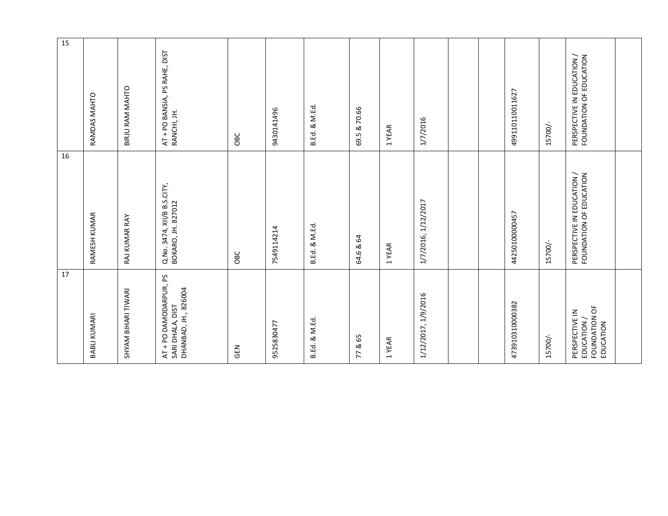| 17                                                                 | 16                                                    | 15                                                    |
|--------------------------------------------------------------------|-------------------------------------------------------|-------------------------------------------------------|
| BABLI KUMARI                                                       | RAMESH KUMAR                                          | RAMDAS MAHTO                                          |
| SHYAM BIHARI TIWARI                                                | RAJ KUMAR RAY                                         | BIRJU RAM MAHTO                                       |
| AT + PO DAMODARPUR, PS<br>DHANBAD, JH., 826004<br>SARI DHALA, DIST | Q.No. 3474, XII/B B.S.CITY,<br>BOKARO, JH. 827012     | AT + PO BANSIA, PS RAHE, DIST<br>RANCHI, JH.          |
| <b>GEN</b>                                                         | OBC                                                   | OBC                                                   |
| 9525830477                                                         | 7549114214                                            | 9430141496                                            |
| B.Ed. & M.Ed.                                                      | B.Ed. & M.Ed.                                         | B.Ed. & M.Ed.                                         |
| 77 & 65                                                            | 64.6 & 64                                             | 69.5 & 70.66                                          |
| 1 YEAR                                                             | 1YEAR                                                 | 1 YEAR                                                |
| 1/12/2017, 1/9/2016                                                | 1/7/2016, 1/12/2017                                   | 1/7/2016                                              |
|                                                                    |                                                       |                                                       |
|                                                                    |                                                       |                                                       |
| 473910310000382                                                    | 44250100000457                                        | 499110110011627                                       |
| 15700/-                                                            | 15700/-                                               | 15700/-                                               |
| FOUNDATION OF<br>PERSPECTIVE IN<br>EDUCATION /<br>EDUCATION        | PERSPECTIVE IN EDUCATION /<br>FOUNDATION OF EDUCATION | PERSPECTIVE IN EDUCATION /<br>FOUNDATION OF EDUCATION |
|                                                                    |                                                       |                                                       |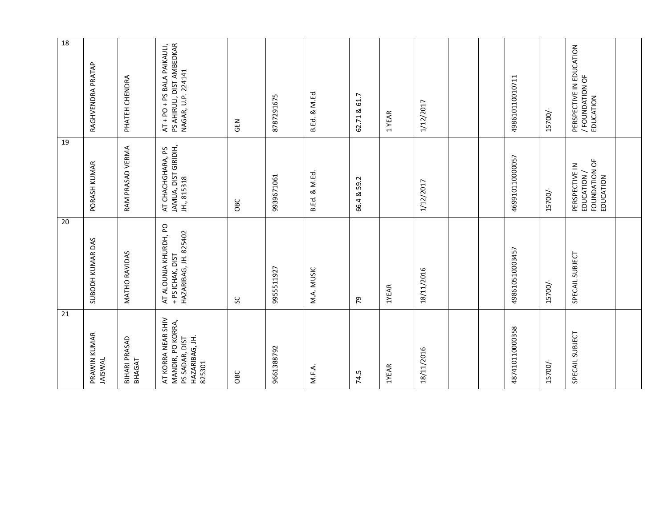| 21<br>PRAWIN KUMAR                                                                    | 20<br>SUBODH KUMAR DAS                                             | 19<br>PORASH KUMAR                                          | 18<br>RAGHVENDRA PRATAP                                                        |
|---------------------------------------------------------------------------------------|--------------------------------------------------------------------|-------------------------------------------------------------|--------------------------------------------------------------------------------|
| <b>JAISWAL</b>                                                                        |                                                                    |                                                             |                                                                                |
| BIHARI PRASAD<br>BHAGAT                                                               | MATHO RAVIDAS                                                      | RAM PRASAD VERMA                                            | PHATEH CHENDRA                                                                 |
| AT KORRA NEAR SHIV<br>MANDIR, PO KORRA,<br>PS SADAR, DIST<br>HAZARIBAG, JH.<br>825301 | AT ALOUNJA KHURDH, PO<br>HAZARIBAG, JH. 825402<br>+ PS ICHAK, DIST | JAMUA, DIST GIRIDIH,<br>AT CHACHGHARA, PS<br>JH., 815318    | PS AHIRULI, DIST AMBEDKAR<br>AT + PO + PS BALA PAIKAULI,<br>NAGAR, U.P. 224141 |
|                                                                                       | ပ္တ                                                                | OBC                                                         | <b>SEN</b>                                                                     |
| 9661388792                                                                            | 9955511927                                                         | 9939671061                                                  | 8787291675                                                                     |
| M.F.A.                                                                                | M.A. MUSIC                                                         | B.Ed. & M.Ed.                                               | B.Ed. & M.Ed.                                                                  |
|                                                                                       | 54                                                                 | 66.4 & 59.2                                                 | 62.71 & 61.7                                                                   |
| 1YEAR                                                                                 | 1YEAR                                                              |                                                             | 1YEAR                                                                          |
| 18/11/2016                                                                            | 18/11/2016                                                         | 1/12/2017                                                   | 1/12/2017                                                                      |
|                                                                                       |                                                                    |                                                             |                                                                                |
|                                                                                       |                                                                    |                                                             |                                                                                |
| 487410110000358                                                                       | 498610510003457                                                    | 469910110000057                                             | 498610110010711                                                                |
| 15700/-                                                                               | 15700/-                                                            | 15700/-                                                     | 15700/-                                                                        |
| SPECAIL SUBJECT                                                                       | SPECAIL SUBJECT                                                    | FOUNDATION OF<br>PERSPECTIVE IN<br>EDUCATION /<br>EDUCATION | PERSPECTIVE IN EDUCATION<br>/ FOUNDATION OF<br>EDUCATION                       |
|                                                                                       |                                                                    |                                                             |                                                                                |
|                                                                                       |                                                                    |                                                             |                                                                                |